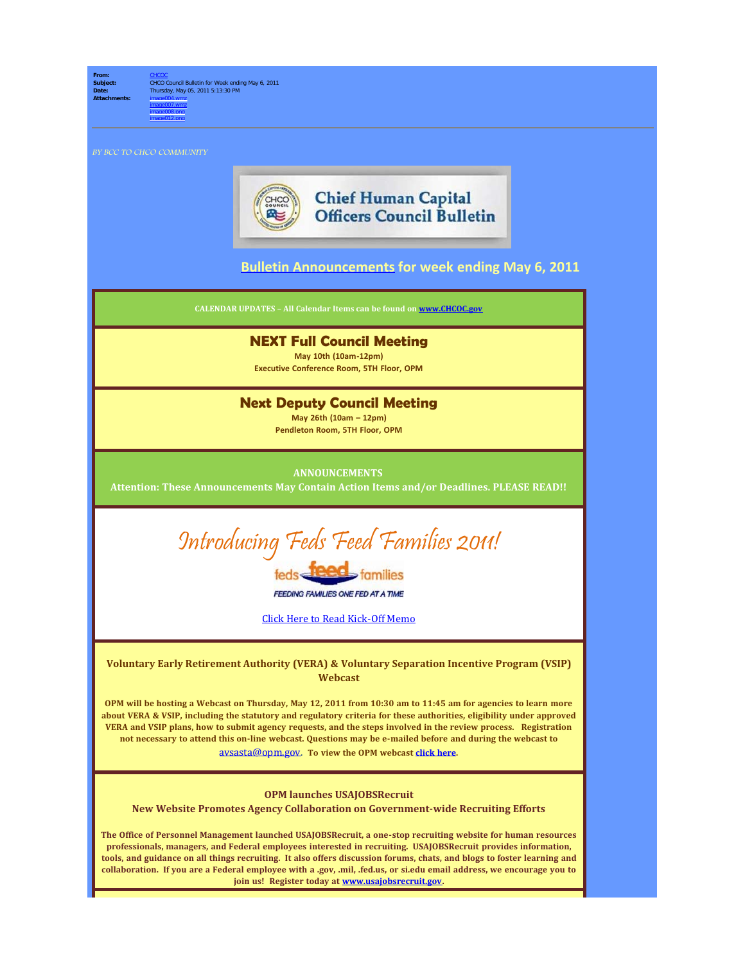

**Subject:** CHCO Council Bulletin for Week ending May 6, 2011 **Date:** Thursday, May 05, 2011 5:13:30 PM **Attachments:** image004.wmz image007.wmz image008.png

BY BCC TO CHCO COMMUNITY

image012.png



## **Chief Human Capital Officers Council Bulletin**

## **[Bulletin Announcements](http://chcoc.gov/Transmittals/Index.aspx) for week ending May 6, 2011**

**CALENDAR UPDATES – All Calendar Items can be found on [www.CHCOC.gov](http://www.chcoc.gov/)**

## **NEXT Full Council Meeting**

**May 10th (10am-12pm) Executive Conference Room, 5TH Floor, OPM**

### **Next Deputy Council Meeting**

**May 26th (10am – 12pm) Pendleton Room, 5TH Floor, OPM**

#### **ANNOUNCEMENTS**

**Attention: These Announcements May Contain Action Items and/or Deadlines. PLEASE READ!!**



families

**FEEDING FAMILIES ONE FED AT A TIME** 

Click Here to Read [Kick-Off](http://www.chcoc.gov/transmittals/TransmittalDetails.aspx?TransmittalID=3903) Memo

**Voluntary Early Retirement Authority (VERA) & Voluntary Separation Incentive Program (VSIP) Webcast**

**OPM will be hosting a Webcast on Thursday, May 12, 2011 from 10:30 am to 11:45 am for agencies to learn more about VERA & VSIP, including the statutory and regulatory criteria for these authorities, eligibility under approved VERA and VSIP plans, how to submit agency requests, and the steps involved in the review process. Registration not necessary to attend this on-line webcast. Questions may be e-mailed before and during the webcast to** [avsasta@opm.gov](mailto:avsasta@opm.gov). **To view the OPM webcast [click here](http://pointers.audiovideoweb.com/stcasx/il83winlive3146/play.asx).**

#### **OPM launches USAJOBSRecruit**

**New Website Promotes Agency Collaboration on Government-wide Recruiting Efforts**

**The Office of Personnel Management launched USAJOBSRecruit, a one-stop recruiting website for human resources professionals, managers, and Federal employees interested in recruiting. USAJOBSRecruit provides information, tools, and guidance on all things recruiting. It also offers discussion forums, chats, and blogs to foster learning and collaboration. If you are a Federal employee with a .gov, .mil, .fed.us, or si.edu email address, we encourage you to join us! Register today at [www.usajobsrecruit.gov](http://www.usajobsrecruit.gov/).**